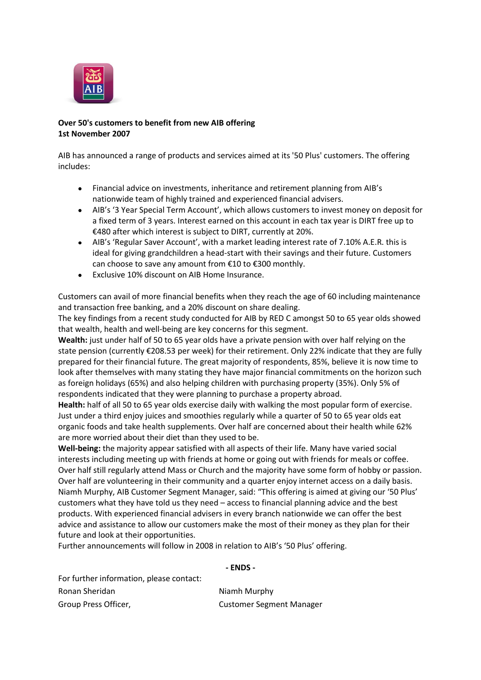

## **Over 50's customers to benefit from new AIB offering 1st November 2007**

AIB has announced a range of products and services aimed at its '50 Plus' customers. The offering includes:

- Financial advice on investments, inheritance and retirement planning from AIB's  $\bullet$ nationwide team of highly trained and experienced financial advisers.
- AIB's '3 Year Special Term Account', which allows customers to invest money on deposit for a fixed term of 3 years. Interest earned on this account in each tax year is DIRT free up to €480 after which interest is subject to DIRT, currently at 20%.
- AIB's 'Regular Saver Account', with a market leading interest rate of 7.10% A.E.R. this is ideal for giving grandchildren a head-start with their savings and their future. Customers can choose to save any amount from €10 to €300 monthly.
- Exclusive 10% discount on AIB Home Insurance.

Customers can avail of more financial benefits when they reach the age of 60 including maintenance and transaction free banking, and a 20% discount on share dealing.

The key findings from a recent study conducted for AIB by RED C amongst 50 to 65 year olds showed that wealth, health and well-being are key concerns for this segment.

**Wealth:** just under half of 50 to 65 year olds have a private pension with over half relying on the state pension (currently €208.53 per week) for their retirement. Only 22% indicate that they are fully prepared for their financial future. The great majority of respondents, 85%, believe it is now time to look after themselves with many stating they have major financial commitments on the horizon such as foreign holidays (65%) and also helping children with purchasing property (35%). Only 5% of respondents indicated that they were planning to purchase a property abroad.

**Health:** half of all 50 to 65 year olds exercise daily with walking the most popular form of exercise. Just under a third enjoy juices and smoothies regularly while a quarter of 50 to 65 year olds eat organic foods and take health supplements. Over half are concerned about their health while 62% are more worried about their diet than they used to be.

**Well-being:** the majority appear satisfied with all aspects of their life. Many have varied social interests including meeting up with friends at home or going out with friends for meals or coffee. Over half still regularly attend Mass or Church and the majority have some form of hobby or passion. Over half are volunteering in their community and a quarter enjoy internet access on a daily basis. Niamh Murphy, AIB Customer Segment Manager, said: "This offering is aimed at giving our '50 Plus' customers what they have told us they need – access to financial planning advice and the best products. With experienced financial advisers in every branch nationwide we can offer the best advice and assistance to allow our customers make the most of their money as they plan for their future and look at their opportunities.

Further announcements will follow in 2008 in relation to AIB's '50 Plus' offering.

## **- ENDS -**

| For further information, please contact: |  |
|------------------------------------------|--|
| Ronan Sheridan                           |  |
| Group Press Officer,                     |  |

**Niamh Murphy Customer Segment Manager**